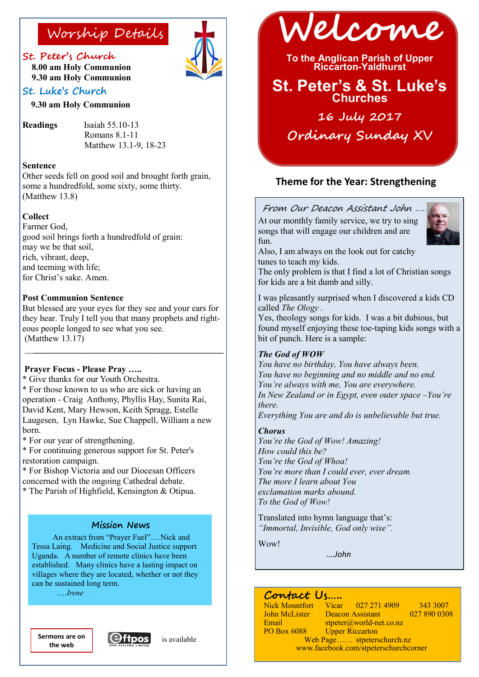### **St. Peter's Church**

 **8.00 am Holy Communion 9.30 am Holy Communion** 

### **St. Luke's Church**

 **9.30 am Holy Communion**

**Readings** Isaiah 55.10-13

 Romans 8.1-11 Matthew 13.1-9, 18-23

#### **Sentence**

Other seeds fell on good soil and brought forth grain, some a hundredfold, some sixty, some thirty. (Matthew 13.8)

#### **Collect**

Farmer God, good soil brings forth a hundredfold of grain: may we be that soil, rich, vibrant, deep, and teeming with life; for Christ's sake. Amen.

#### **Post Communion Sentence**

But blessed are your eyes for they see and your ears for they hear. Truly I tell you that many prophets and righteous people longed to see what you see. (Matthew 13.17)  $\mathcal{L}_\text{max}$  , and the set of the set of the set of the set of the set of the set of the set of the set of the set of the set of the set of the set of the set of the set of the set of the set of the set of the set of the

### **Prayer Focus - Please Pray …..**

\* Give thanks for our Youth Orchestra.

\* For those known to us who are sick or having an operation - Craig Anthony, Phyllis Hay, Sunita Rai, David Kent, Mary Hewson, Keith Spragg, Estelle Laugesen, Lyn Hawke, Sue Chappell, William a new born.

\* For our year of strengthening.

\* For continuing generous support for St. Peter's restoration campaign.

\* For Bishop Victoria and our Diocesan Officers concerned with the ongoing Cathedral debate.

\* The Parish of Highfield, Kensington & Otipua.

### **Mission News**

An extract from "Prayer Fuel"….Nick and Tessa Laing. Medicine and Social Justice support Uganda. A number of remote clinics have been established. Many clinics have a lasting impact on villages where they are located, whether or not they can be sustained long term.

….*Irene*

**the web**







**To the Anglican Parish of Upper Riccarton-Yaldhurst**

## **St. Peter's & St. Luke's Churches**

# **16 July 2017 Ordinary Sunday XV**

### **Theme for the Year: Strengthening**

### From Our Deacon Assistant John ….

At our monthly family service, we try to sing songs that will engage our children and are fun.



Also, I am always on the look out for catchy tunes to teach my kids.

The only problem is that I find a lot of Christian songs for kids are a bit dumb and silly.

I was pleasantly surprised when I discovered a kids CD called *The Ology .*

Yes, theology songs for kids. I was a bit dubious, but found myself enjoying these toe-taping kids songs with a bit of punch. Here is a sample:

### *The God of WOW*

*You have no birthday, You have always been. You have no beginning and no middle and no end. You're always with me, You are everywhere. In New Zealand or in Egypt, even outer space –You're there. Everything You are and do is unbelievable but true.*

#### *Chorus*

*You're the God of Wow! Amazing! How could this be? You're the God of Whoa! You're more than I could ever, ever dream. The more I learn about You exclamation marks abound. To the God of Wow!*

Translated into hymn language that's: *"Immortal, Invisible, God only wise".*

Wow!

….*John*

### **Contact Us…..**

Email stpeter@world-net.co.nz<br>PO Box 6088 Upper Riccarton **Upper Riccarton** Web Page…… stpeterschurch.nz

Nick Mountfort Vicar 027 271 4909 343 3007<br>John McLister Deacon Assistant 027 890 0308 Deacon Assistant

www.facebook.com/stpeterschurchcorner